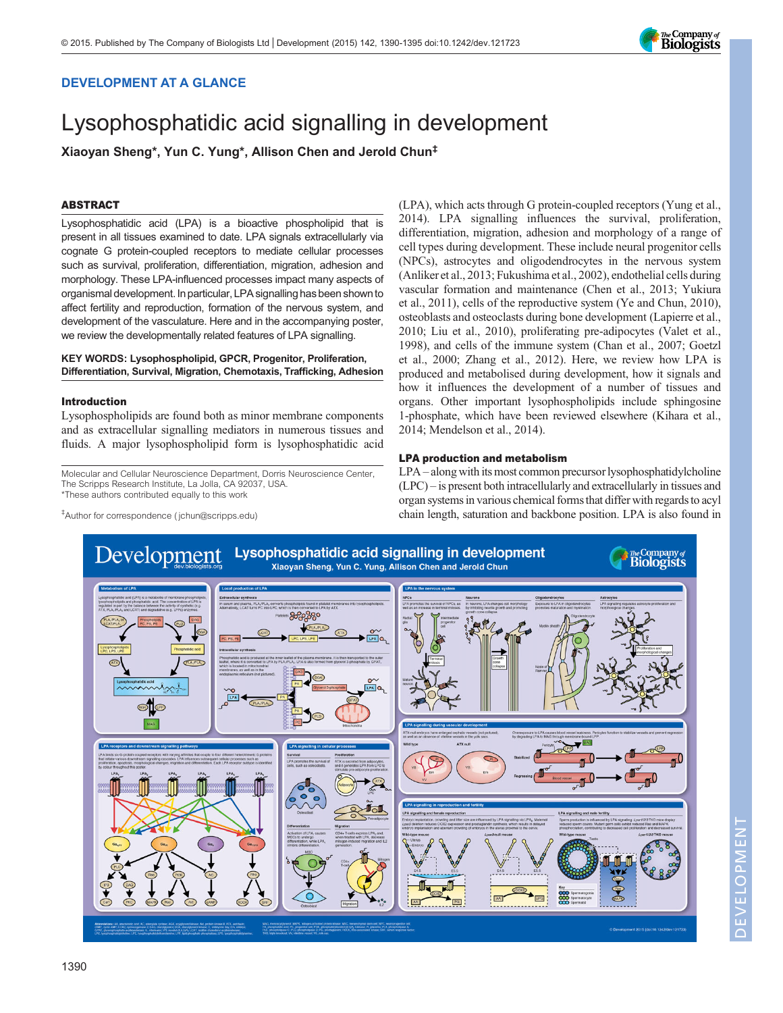# DEVELOPMENT AT A GLANCE

# Lysophosphatidic acid signalling in development

Xiaoyan Sheng\*, Yun C. Yung\*, Allison Chen and Jerold Chun‡

## ABSTRACT

Lysophosphatidic acid (LPA) is a bioactive phospholipid that is present in all tissues examined to date. LPA signals extracellularly via cognate G protein-coupled receptors to mediate cellular processes such as survival, proliferation, differentiation, migration, adhesion and morphology. These LPA-influenced processes impact many aspects of organismal development. In particular, LPA signalling has been shown to affect fertility and reproduction, formation of the nervous system, and development of the vasculature. Here and in the accompanying poster, we review the developmentally related features of LPA signalling.

## KEY WORDS: Lysophospholipid, GPCR, Progenitor, Proliferation, Differentiation, Survival, Migration, Chemotaxis, Trafficking, Adhesion

## Introduction

Lysophospholipids are found both as minor membrane components and as extracellular signalling mediators in numerous tissues and fluids. A major lysophospholipid form is lysophosphatidic acid

Molecular and Cellular Neuroscience Department, Dorris Neuroscience Center, The Scripps Research Institute, La Jolla, CA 92037, USA. \*These authors contributed equally to this work

(LPA), which acts through G protein-coupled receptors ([Yung et al.,](#page-5-0) [2014\)](#page-5-0). LPA signalling influences the survival, proliferation, differentiation, migration, adhesion and morphology of a range of cell types during development. These include neural progenitor cells (NPCs), astrocytes and oligodendrocytes in the nervous system [\(Anliker et al., 2013](#page-3-0); [Fukushima et al., 2002](#page-3-0)), endothelial cells during vascular formation and maintenance ([Chen et al., 2013](#page-3-0); [Yukiura](#page-5-0) [et al., 2011\)](#page-5-0), cells of the reproductive system [\(Ye and Chun, 2010\)](#page-4-0), osteoblasts and osteoclasts during bone development [\(Lapierre et al.,](#page-4-0) [2010; Liu et al., 2010](#page-4-0)), proliferating pre-adipocytes [\(Valet et al.,](#page-4-0) [1998\)](#page-4-0), and cells of the immune system [\(Chan et al., 2007](#page-3-0); [Goetzl](#page-3-0) [et al., 2000](#page-3-0); [Zhang et al., 2012\)](#page-5-0). Here, we review how LPA is produced and metabolised during development, how it signals and how it influences the development of a number of tissues and organs. Other important lysophospholipids include sphingosine 1-phosphate, which have been reviewed elsewhere [\(Kihara et al.,](#page-4-0) [2014; Mendelson et al., 2014](#page-4-0)).

The Company of<br>**Biologists** 

## LPA production and metabolism

LPA – along with its most common precursor lysophosphatidylcholine (LPC) – is present both intracellularly and extracellularly in tissues and organ systems in various chemical forms that differ with regards to acyl chain length, saturation and backbone position. LPA is also found in



‡ Author for correspondence ( jchun@scripps.edu)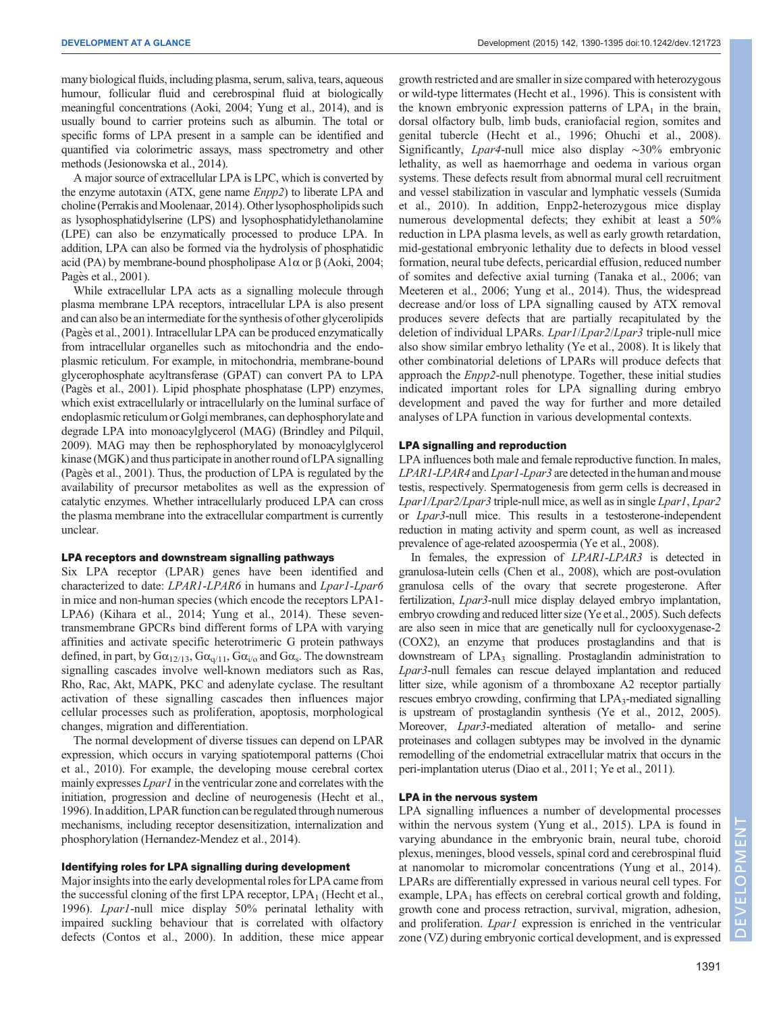many biological fluids, including plasma, serum, saliva, tears, aqueous humour, follicular fluid and cerebrospinal fluid at biologically meaningful concentrations [\(Aoki, 2004;](#page-3-0) [Yung et al., 2014](#page-5-0)), and is usually bound to carrier proteins such as albumin. The total or specific forms of LPA present in a sample can be identified and quantified via colorimetric assays, mass spectrometry and other methods [\(Jesionowska et al., 2014](#page-4-0)).

A major source of extracellular LPA is LPC, which is converted by the enzyme autotaxin (ATX, gene name Enpp2) to liberate LPA and choline (Perrakis and Moolenaar, 2014). Other lysophospholipids such as lysophosphatidylserine (LPS) and lysophosphatidylethanolamine (LPE) can also be enzymatically processed to produce LPA. In addition, LPA can also be formed via the hydrolysis of phosphatidic acid (PA) by membrane-bound phospholipase  $A1\alpha$  or  $\beta$  [\(Aoki, 2004](#page-3-0); Pagès et al., 2001).

While extracellular LPA acts as a signalling molecule through plasma membrane LPA receptors, intracellular LPA is also present and can also be an intermediate for the synthesis of other glycerolipids [\(Pages et al., 2001](#page-4-0)). Intracellular LPA can be produced enzymatically from intracellular organelles such as mitochondria and the endoplasmic reticulum. For example, in mitochondria, membrane-bound glycerophosphate acyltransferase (GPAT) can convert PA to LPA (Pagès et al., 2001). Lipid phosphate phosphatase (LPP) enzymes, which exist extracellularly or intracellularly on the luminal surface of endoplasmic reticulum or Golgi membranes, can dephosphorylate and degrade LPA into monoacylglycerol (MAG) ([Brindley and Pilquil,](#page-3-0) [2009\)](#page-3-0). MAG may then be rephosphorylated by monoacylglycerol kinase (MGK) and thus participate in another round of LPA signalling [\(Pages et al., 2001\)](#page-4-0). Thus, the production of LPA is regulated by the availability of precursor metabolites as well as the expression of catalytic enzymes. Whether intracellularly produced LPA can cross the plasma membrane into the extracellular compartment is currently unclear.

### LPA receptors and downstream signalling pathways

Six LPA receptor (LPAR) genes have been identified and characterized to date: LPAR1-LPAR6 in humans and Lpar1-Lpar6 in mice and non-human species (which encode the receptors LPA1- LPA6) [\(Kihara et al., 2014](#page-4-0); [Yung et al., 2014](#page-5-0)). These seventransmembrane GPCRs bind different forms of LPA with varying affinities and activate specific heterotrimeric G protein pathways defined, in part, by  $Ga_{12/13}$ ,  $Ga_{q/11}$ ,  $Ga_{i/0}$  and  $Ga_s$ . The downstream signalling cascades involve well-known mediators such as Ras, Rho, Rac, Akt, MAPK, PKC and adenylate cyclase. The resultant activation of these signalling cascades then influences major cellular processes such as proliferation, apoptosis, morphological changes, migration and differentiation.

The normal development of diverse tissues can depend on LPAR expression, which occurs in varying spatiotemporal patterns ([Choi](#page-3-0) [et al., 2010](#page-3-0)). For example, the developing mouse cerebral cortex mainly expresses *Lpar1* in the ventricular zone and correlates with the initiation, progression and decline of neurogenesis [\(Hecht et al.,](#page-4-0) [1996\)](#page-4-0). In addition, LPAR function can be regulated through numerous mechanisms, including receptor desensitization, internalization and phosphorylation [\(Hernandez-Mendez et al., 2014\)](#page-4-0).

#### Identifying roles for LPA signalling during development

Major insights into the early developmental roles for LPA came from the successful cloning of the first LPA receptor,  $LPA_1$  ([Hecht et al.,](#page-4-0) [1996](#page-4-0)). Lpar1-null mice display 50% perinatal lethality with impaired suckling behaviour that is correlated with olfactory defects [\(Contos et al., 2000](#page-3-0)). In addition, these mice appear growth restricted and are smaller in size compared with heterozygous or wild-type littermates [\(Hecht et al., 1996\)](#page-4-0). This is consistent with the known embryonic expression patterns of  $LPA<sub>1</sub>$  in the brain, dorsal olfactory bulb, limb buds, craniofacial region, somites and genital tubercle [\(Hecht et al., 1996; Ohuchi et al., 2008\)](#page-4-0). Significantly, Lpar4-null mice also display <sup>∼</sup>30% embryonic lethality, as well as haemorrhage and oedema in various organ systems. These defects result from abnormal mural cell recruitment and vessel stabilization in vascular and lymphatic vessels [\(Sumida](#page-4-0) [et al., 2010](#page-4-0)). In addition, Enpp2-heterozygous mice display numerous developmental defects; they exhibit at least a 50% reduction in LPA plasma levels, as well as early growth retardation, mid-gestational embryonic lethality due to defects in blood vessel formation, neural tube defects, pericardial effusion, reduced number of somites and defective axial turning ([Tanaka et al., 2006; van](#page-4-0) [Meeteren et al., 2006;](#page-4-0) [Yung et al., 2014\)](#page-5-0). Thus, the widespread decrease and/or loss of LPA signalling caused by ATX removal produces severe defects that are partially recapitulated by the deletion of individual LPARs. Lpar1/Lpar2/Lpar3 triple-null mice also show similar embryo lethality ([Ye et al., 2008](#page-4-0)). It is likely that other combinatorial deletions of LPARs will produce defects that approach the Enpp2-null phenotype. Together, these initial studies indicated important roles for LPA signalling during embryo development and paved the way for further and more detailed analyses of LPA function in various developmental contexts.

## LPA signalling and reproduction

LPA influences both male and female reproductive function. In males, LPAR1-LPAR4 and Lpar1-Lpar3 are detected in the human and mouse testis, respectively. Spermatogenesis from germ cells is decreased in Lpar1/Lpar2/Lpar3 triple-null mice, as well as in single Lpar1, Lpar2 or Lpar3-null mice. This results in a testosterone-independent reduction in mating activity and sperm count, as well as increased prevalence of age-related azoospermia ([Ye et al., 2008](#page-4-0)).

In females, the expression of LPAR1-LPAR3 is detected in granulosa-lutein cells [\(Chen et al., 2008](#page-3-0)), which are post-ovulation granulosa cells of the ovary that secrete progesterone. After fertilization, Lpar3-null mice display delayed embryo implantation, embryo crowding and reduced litter size ([Ye et al., 2005](#page-4-0)). Such defects are also seen in mice that are genetically null for cyclooxygenase-2 (COX2), an enzyme that produces prostaglandins and that is downstream of LPA<sub>3</sub> signalling. Prostaglandin administration to Lpar3-null females can rescue delayed implantation and reduced litter size, while agonism of a thromboxane A2 receptor partially rescues embryo crowding, confirming that  $LPA_3$ -mediated signalling is upstream of prostaglandin synthesis [\(Ye et al., 2012, 2005\)](#page-4-0). Moreover, Lpar3-mediated alteration of metallo- and serine proteinases and collagen subtypes may be involved in the dynamic remodelling of the endometrial extracellular matrix that occurs in the peri-implantation uterus [\(Diao et al., 2011;](#page-3-0) [Ye et al., 2011\)](#page-4-0).

### LPA in the nervous system

LPA signalling influences a number of developmental processes within the nervous system ([Yung et al., 2015](#page-5-0)). LPA is found in varying abundance in the embryonic brain, neural tube, choroid plexus, meninges, blood vessels, spinal cord and cerebrospinal fluid at nanomolar to micromolar concentrations ([Yung et al., 2014\)](#page-5-0). LPARs are differentially expressed in various neural cell types. For example,  $LPA<sub>1</sub>$  has effects on cerebral cortical growth and folding, growth cone and process retraction, survival, migration, adhesion, and proliferation. *Lpar1* expression is enriched in the ventricular zone (VZ) during embryonic cortical development, and is expressed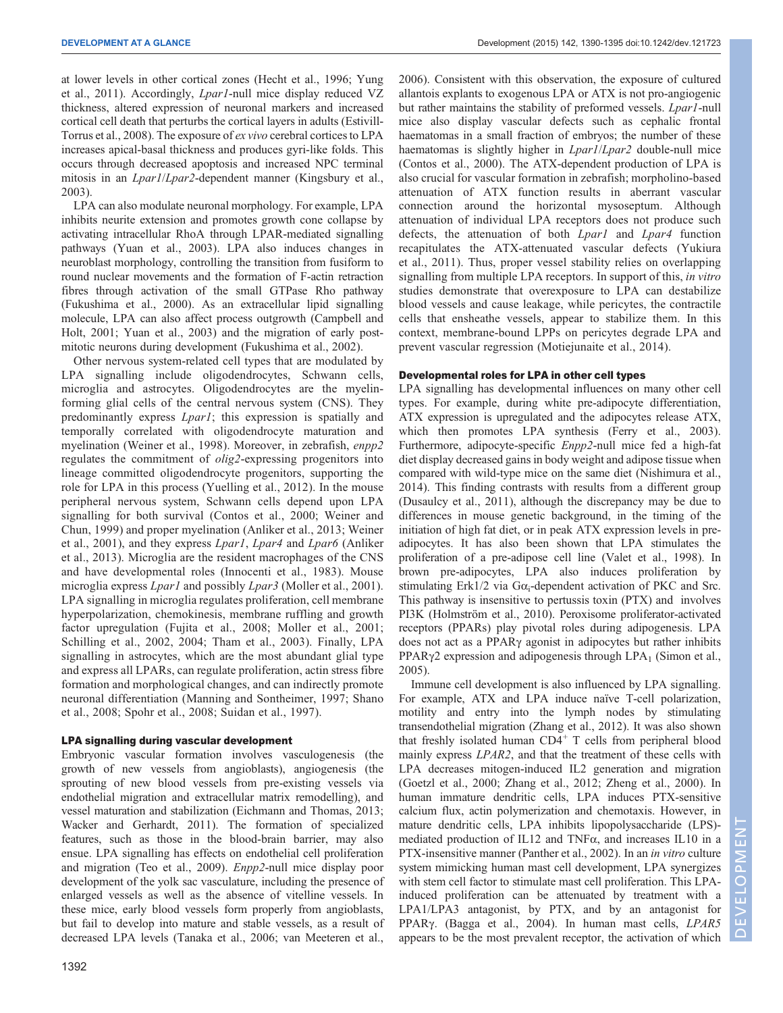at lower levels in other cortical zones ([Hecht et al., 1996;](#page-4-0) [Yung](#page-5-0) [et al., 2011](#page-5-0)). Accordingly, Lpar1-null mice display reduced VZ thickness, altered expression of neuronal markers and increased cortical cell death that perturbs the cortical layers in adults [\(Estivill-](#page-3-0)[Torrus et al., 2008](#page-3-0)). The exposure of ex vivo cerebral cortices to LPA increases apical-basal thickness and produces gyri-like folds. This occurs through decreased apoptosis and increased NPC terminal mitosis in an *Lpar1/Lpar2*-dependent manner ([Kingsbury et al.,](#page-4-0) [2003](#page-4-0)).

LPA can also modulate neuronal morphology. For example, LPA inhibits neurite extension and promotes growth cone collapse by activating intracellular RhoA through LPAR-mediated signalling pathways ([Yuan et al., 2003\)](#page-4-0). LPA also induces changes in neuroblast morphology, controlling the transition from fusiform to round nuclear movements and the formation of F-actin retraction fibres through activation of the small GTPase Rho pathway [\(Fukushima et al., 2000\)](#page-3-0). As an extracellular lipid signalling molecule, LPA can also affect process outgrowth [\(Campbell and](#page-3-0) [Holt, 2001](#page-3-0); [Yuan et al., 2003](#page-4-0)) and the migration of early postmitotic neurons during development ([Fukushima et al., 2002\)](#page-3-0).

Other nervous system-related cell types that are modulated by LPA signalling include oligodendrocytes, Schwann cells, microglia and astrocytes. Oligodendrocytes are the myelinforming glial cells of the central nervous system (CNS). They predominantly express Lpar1; this expression is spatially and temporally correlated with oligodendrocyte maturation and myelination ([Weiner et al., 1998](#page-4-0)). Moreover, in zebrafish, enpp2 regulates the commitment of olig2-expressing progenitors into lineage committed oligodendrocyte progenitors, supporting the role for LPA in this process [\(Yuelling et al., 2012](#page-4-0)). In the mouse peripheral nervous system, Schwann cells depend upon LPA signalling for both survival [\(Contos et al., 2000;](#page-3-0) [Weiner and](#page-4-0) [Chun, 1999](#page-4-0)) and proper myelination [\(Anliker et al., 2013](#page-3-0); [Weiner](#page-4-0) [et al., 2001](#page-4-0)), and they express Lpar1, Lpar4 and Lpar6 ([Anliker](#page-3-0) [et al., 2013\)](#page-3-0). Microglia are the resident macrophages of the CNS and have developmental roles ([Innocenti et al., 1983\)](#page-4-0). Mouse microglia express *Lpar1* and possibly *Lpar3* [\(Moller et al., 2001](#page-4-0)). LPA signalling in microglia regulates proliferation, cell membrane hyperpolarization, chemokinesis, membrane ruffling and growth factor upregulation [\(Fujita et al., 2008](#page-3-0); [Moller et al., 2001](#page-4-0); [Schilling et al., 2002, 2004](#page-4-0); [Tham et al., 2003\)](#page-4-0). Finally, LPA signalling in astrocytes, which are the most abundant glial type and express all LPARs, can regulate proliferation, actin stress fibre formation and morphological changes, and can indirectly promote neuronal differentiation ([Manning and Sontheimer, 1997](#page-4-0); [Shano](#page-4-0) [et al., 2008; Spohr et al., 2008](#page-4-0); [Suidan et al., 1997](#page-4-0)).

## LPA signalling during vascular development

Embryonic vascular formation involves vasculogenesis (the growth of new vessels from angioblasts), angiogenesis (the sprouting of new blood vessels from pre-existing vessels via endothelial migration and extracellular matrix remodelling), and vessel maturation and stabilization ([Eichmann and Thomas, 2013](#page-3-0); [Wacker and Gerhardt, 2011\)](#page-4-0). The formation of specialized features, such as those in the blood-brain barrier, may also ensue. LPA signalling has effects on endothelial cell proliferation and migration [\(Teo et al., 2009\)](#page-4-0). Enpp2-null mice display poor development of the yolk sac vasculature, including the presence of enlarged vessels as well as the absence of vitelline vessels. In these mice, early blood vessels form properly from angioblasts, but fail to develop into mature and stable vessels, as a result of decreased LPA levels ([Tanaka et al., 2006; van Meeteren et al.,](#page-4-0)

[2006\)](#page-4-0). Consistent with this observation, the exposure of cultured allantois explants to exogenous LPA or ATX is not pro-angiogenic but rather maintains the stability of preformed vessels. Lpar1-null mice also display vascular defects such as cephalic frontal haematomas in a small fraction of embryos; the number of these haematomas is slightly higher in *Lpar1/Lpar2* double-null mice [\(Contos et al., 2000\)](#page-3-0). The ATX-dependent production of LPA is also crucial for vascular formation in zebrafish; morpholino-based attenuation of ATX function results in aberrant vascular connection around the horizontal mysoseptum. Although attenuation of individual LPA receptors does not produce such defects, the attenuation of both Lpar1 and Lpar4 function recapitulates the ATX-attenuated vascular defects ([Yukiura](#page-5-0) [et al., 2011](#page-5-0)). Thus, proper vessel stability relies on overlapping signalling from multiple LPA receptors. In support of this, in vitro studies demonstrate that overexposure to LPA can destabilize blood vessels and cause leakage, while pericytes, the contractile cells that ensheathe vessels, appear to stabilize them. In this context, membrane-bound LPPs on pericytes degrade LPA and prevent vascular regression [\(Motiejunaite et al., 2014](#page-4-0)).

### Developmental roles for LPA in other cell types

LPA signalling has developmental influences on many other cell types. For example, during white pre-adipocyte differentiation, ATX expression is upregulated and the adipocytes release ATX, which then promotes LPA synthesis ([Ferry et al., 2003\)](#page-3-0). Furthermore, adipocyte-specific Enpp2-null mice fed a high-fat diet display decreased gains in body weight and adipose tissue when compared with wild-type mice on the same diet ([Nishimura et al.,](#page-4-0) [2014\)](#page-4-0). This finding contrasts with results from a different group [\(Dusaulcy et al., 2011](#page-3-0)), although the discrepancy may be due to differences in mouse genetic background, in the timing of the initiation of high fat diet, or in peak ATX expression levels in preadipocytes. It has also been shown that LPA stimulates the proliferation of a pre-adipose cell line ([Valet et al., 1998\)](#page-4-0). In brown pre-adipocytes, LPA also induces proliferation by stimulating Erk1/2 via  $G\alpha_i$ -dependent activation of PKC and Src. This pathway is insensitive to pertussis toxin (PTX) and involves PI3K [\(Holmström et al., 2010\)](#page-4-0). Peroxisome proliferator-activated receptors (PPARs) play pivotal roles during adipogenesis. LPA does not act as a PPARγ agonist in adipocytes but rather inhibits PPAR $\gamma$ 2 expression and adipogenesis through LPA<sub>1</sub> ([Simon et al.,](#page-4-0) [2005\)](#page-4-0).

Immune cell development is also influenced by LPA signalling. For example, ATX and LPA induce naïve T-cell polarization, motility and entry into the lymph nodes by stimulating transendothelial migration ([Zhang et al., 2012](#page-5-0)). It was also shown that freshly isolated human CD4<sup>+</sup> T cells from peripheral blood mainly express *LPAR2*, and that the treatment of these cells with LPA decreases mitogen-induced IL2 generation and migration [\(Goetzl et al., 2000;](#page-3-0) [Zhang et al., 2012; Zheng et al., 2000\)](#page-5-0). In human immature dendritic cells, LPA induces PTX-sensitive calcium flux, actin polymerization and chemotaxis. However, in mature dendritic cells, LPA inhibits lipopolysaccharide (LPS) mediated production of IL12 and TNFα, and increases IL10 in a PTX-insensitive manner ([Panther et al., 2002](#page-4-0)). In an in vitro culture system mimicking human mast cell development, LPA synergizes with stem cell factor to stimulate mast cell proliferation. This LPAinduced proliferation can be attenuated by treatment with a LPA1/LPA3 antagonist, by PTX, and by an antagonist for PPARγ. [\(Bagga et al., 2004\)](#page-3-0). In human mast cells, LPAR5 appears to be the most prevalent receptor, the activation of which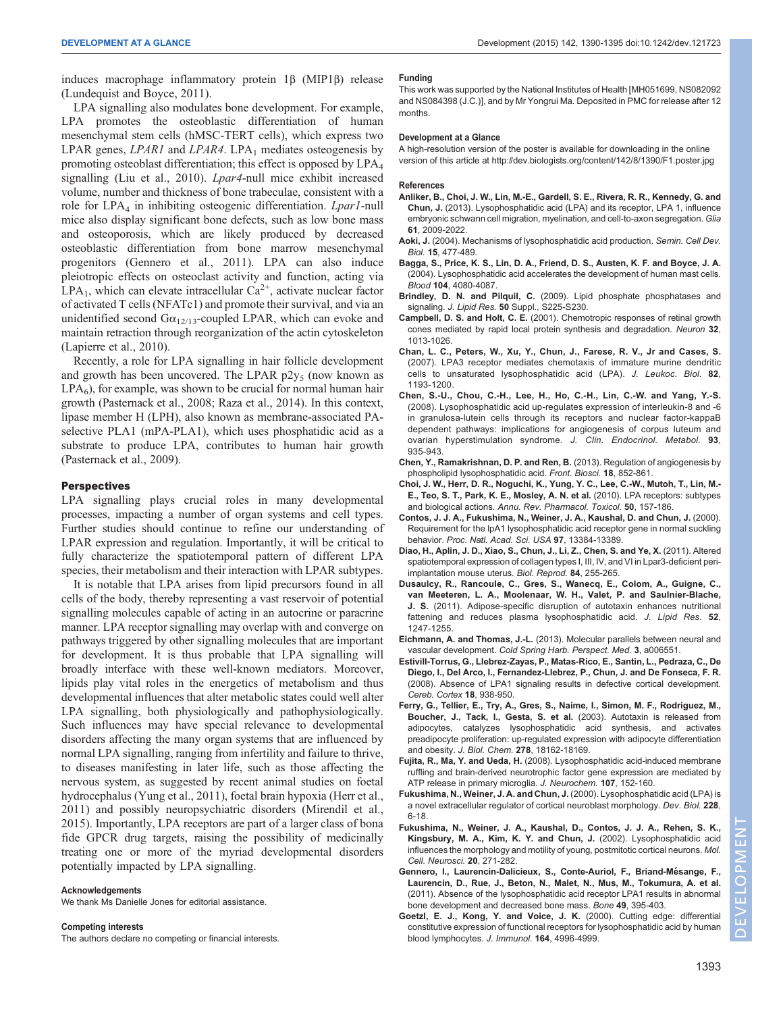<span id="page-3-0"></span>induces macrophage inflammatory protein 1β (MIP1β) release [\(Lundequist and Boyce, 2011](#page-4-0)).

LPA signalling also modulates bone development. For example, LPA promotes the osteoblastic differentiation of human mesenchymal stem cells (hMSC-TERT cells), which express two LPAR genes, LPAR1 and LPAR4. LPA<sub>1</sub> mediates osteogenesis by promoting osteoblast differentiation; this effect is opposed by LPA4 signalling ([Liu et al., 2010](#page-4-0)). Lpar4-null mice exhibit increased volume, number and thickness of bone trabeculae, consistent with a role for LPA<sub>4</sub> in inhibiting osteogenic differentiation. Lpar1-null mice also display significant bone defects, such as low bone mass and osteoporosis, which are likely produced by decreased osteoblastic differentiation from bone marrow mesenchymal progenitors (Gennero et al., 2011). LPA can also induce pleiotropic effects on osteoclast activity and function, acting via  $LPA<sub>1</sub>$ , which can elevate intracellular  $Ca<sup>2+</sup>$ , activate nuclear factor of activated T cells (NFATc1) and promote their survival, and via an unidentified second  $Ga_{12/13}$ -coupled LPAR, which can evoke and maintain retraction through reorganization of the actin cytoskeleton [\(Lapierre et al., 2010\)](#page-4-0).

Recently, a role for LPA signalling in hair follicle development and growth has been uncovered. The LPAR  $p2y_5$  (now known as  $LPA<sub>6</sub>$ ), for example, was shown to be crucial for normal human hair growth [\(Pasternack et al., 2008](#page-4-0); [Raza et al., 2014\)](#page-4-0). In this context, lipase member H (LPH), also known as membrane-associated PAselective PLA1 (mPA-PLA1), which uses phosphatidic acid as a substrate to produce LPA, contributes to human hair growth [\(Pasternack et al., 2009](#page-4-0)).

## **Perspectives**

LPA signalling plays crucial roles in many developmental processes, impacting a number of organ systems and cell types. Further studies should continue to refine our understanding of LPAR expression and regulation. Importantly, it will be critical to fully characterize the spatiotemporal pattern of different LPA species, their metabolism and their interaction with LPAR subtypes.

It is notable that LPA arises from lipid precursors found in all cells of the body, thereby representing a vast reservoir of potential signalling molecules capable of acting in an autocrine or paracrine manner. LPA receptor signalling may overlap with and converge on pathways triggered by other signalling molecules that are important for development. It is thus probable that LPA signalling will broadly interface with these well-known mediators. Moreover, lipids play vital roles in the energetics of metabolism and thus developmental influences that alter metabolic states could well alter LPA signalling, both physiologically and pathophysiologically. Such influences may have special relevance to developmental disorders affecting the many organ systems that are influenced by normal LPA signalling, ranging from infertility and failure to thrive, to diseases manifesting in later life, such as those affecting the nervous system, as suggested by recent animal studies on foetal hydrocephalus [\(Yung et al., 2011\)](#page-5-0), foetal brain hypoxia ([Herr et al.,](#page-4-0) [2011](#page-4-0)) and possibly neuropsychiatric disorders [\(Mirendil et al.,](#page-4-0) [2015](#page-4-0)). Importantly, LPA receptors are part of a larger class of bona fide GPCR drug targets, raising the possibility of medicinally treating one or more of the myriad developmental disorders potentially impacted by LPA signalling.

#### Acknowledgements

We thank Ms Danielle Jones for editorial assistance.

#### Competing interests

The authors declare no competing or financial interests.

#### Funding

This work was supported by the National Institutes of Health [MH051699, NS082092 and NS084398 (J.C.)], and by Mr Yongrui Ma. Deposited in PMC for release after 12 months.

#### Development at a Glance

A high-resolution version of the poster is available for downloading in the online version of this article at [http://dev.biologists.org/content/1](http://dev.biologists.org/content/142/8/1390/)42/8/1390/F1.poster.jpg

#### References

- [Anliker, B., Choi, J. W., Lin, M.-E., Gardell, S. E., Rivera, R. R., Kennedy, G. and](http://dx.doi.org/10.1002/glia.22572) Chun, J. [\(2013\). Lysophosphatidic acid \(LPA\) and its receptor, LPA 1, influence](http://dx.doi.org/10.1002/glia.22572) [embryonic schwann cell migration, myelination, and cell-to-axon segregation.](http://dx.doi.org/10.1002/glia.22572) Glia 61[, 2009-2022.](http://dx.doi.org/10.1002/glia.22572)
- Aoki, J. [\(2004\). Mechanisms of lysophosphatidic acid production.](http://dx.doi.org/10.1016/j.semcdb.2004.05.001) Semin. Cell Dev. Biol. 15[, 477-489.](http://dx.doi.org/10.1016/j.semcdb.2004.05.001)
- [Bagga, S., Price, K. S., Lin, D. A., Friend, D. S., Austen, K. F. and Boyce, J. A.](http://dx.doi.org/10.1182/blood-2004-03-1166) [\(2004\). Lysophosphatidic acid accelerates the development of human mast cells.](http://dx.doi.org/10.1182/blood-2004-03-1166) Blood 104[, 4080-4087.](http://dx.doi.org/10.1182/blood-2004-03-1166)
- Brindley, D. N. and Pilquil, C. [\(2009\). Lipid phosphate phosphatases and](http://dx.doi.org/10.1194/jlr.R800055-JLR200) signaling. J. Lipid Res. 50 [Suppl., S225-S230.](http://dx.doi.org/10.1194/jlr.R800055-JLR200)
- Campbell, D. S. and Holt, C. E. [\(2001\). Chemotropic responses of retinal growth](http://dx.doi.org/10.1016/S0896-6273(01)00551-7) [cones mediated by rapid local protein synthesis and degradation.](http://dx.doi.org/10.1016/S0896-6273(01)00551-7) Neuron 32, [1013-1026.](http://dx.doi.org/10.1016/S0896-6273(01)00551-7)
- [Chan, L. C., Peters, W., Xu, Y., Chun, J., Farese, R. V., Jr and Cases, S.](http://dx.doi.org/10.1189/jlb.0407221) [\(2007\). LPA3 receptor mediates chemotaxis of immature murine dendritic](http://dx.doi.org/10.1189/jlb.0407221) [cells to unsaturated lysophosphatidic acid \(LPA\).](http://dx.doi.org/10.1189/jlb.0407221) J. Leukoc. Biol. 82, [1193-1200.](http://dx.doi.org/10.1189/jlb.0407221)
- [Chen, S.-U., Chou, C.-H., Lee, H., Ho, C.-H., Lin, C.-W. and Yang, Y.-S.](http://dx.doi.org/10.1210/jc.2007-1512) [\(2008\). Lysophosphatidic acid up-regulates expression of interleukin-8 and -6](http://dx.doi.org/10.1210/jc.2007-1512) [in granulosa-lutein cells through its receptors and nuclear factor-kappaB](http://dx.doi.org/10.1210/jc.2007-1512) [dependent pathways: implications for angiogenesis of corpus luteum and](http://dx.doi.org/10.1210/jc.2007-1512) [ovarian hyperstimulation syndrome.](http://dx.doi.org/10.1210/jc.2007-1512) J. Clin. Endocrinol. Metabol. 93, [935-943.](http://dx.doi.org/10.1210/jc.2007-1512)
- [Chen, Y., Ramakrishnan, D. P. and Ren, B.](http://dx.doi.org/10.2741/4148) (2013). Regulation of angiogenesis by [phospholipid lysophosphatidic acid.](http://dx.doi.org/10.2741/4148) Front. Biosci. 18, 852-861.
- [Choi, J. W., Herr, D. R., Noguchi, K., Yung, Y. C., Lee, C.-W., Mutoh, T., Lin, M.-](http://dx.doi.org/10.1146/annurev.pharmtox.010909.105753) [E., Teo, S. T., Park, K. E., Mosley, A. N. et al.](http://dx.doi.org/10.1146/annurev.pharmtox.010909.105753) (2010). LPA receptors: subtypes and biological actions. [Annu. Rev. Pharmacol. Toxicol.](http://dx.doi.org/10.1146/annurev.pharmtox.010909.105753) 50, 157-186.
- [Contos, J. J. A., Fukushima, N., Weiner, J. A., Kaushal, D. and Chun, J.](http://dx.doi.org/10.1073/pnas.97.24.13384) (2000). [Requirement for the lpA1 lysophosphatidic acid receptor gene in normal suckling](http://dx.doi.org/10.1073/pnas.97.24.13384) behavior. [Proc. Natl. Acad. Sci. USA](http://dx.doi.org/10.1073/pnas.97.24.13384) 97, 13384-13389.
- [Diao, H., Aplin, J. D., Xiao, S., Chun, J., Li, Z., Chen, S. and Ye, X.](http://dx.doi.org/10.1095/biolreprod.110.086942) (2011). Altered [spatiotemporal expression of collagen types I, III, IV, and VI in Lpar3-deficient peri](http://dx.doi.org/10.1095/biolreprod.110.086942)[implantation mouse uterus.](http://dx.doi.org/10.1095/biolreprod.110.086942) Biol. Reprod. 84, 255-265.
- [Dusaulcy, R., Rancoule, C., Gres, S., Wanecq, E., Colom, A., Guigne, C.,](http://dx.doi.org/10.1194/jlr.M014985) [van Meeteren, L. A., Moolenaar, W. H., Valet, P. and Saulnier-Blache,](http://dx.doi.org/10.1194/jlr.M014985) J. S. [\(2011\). Adipose-specific disruption of autotaxin enhances nutritional](http://dx.doi.org/10.1194/jlr.M014985) [fattening and reduces plasma lysophosphatidic acid.](http://dx.doi.org/10.1194/jlr.M014985) J. Lipid Res. 52, [1247-1255.](http://dx.doi.org/10.1194/jlr.M014985)
- Eichmann, A. and Thomas, J.-L. [\(2013\). Molecular parallels between neural and](http://dx.doi.org/10.1101/cshperspect.a006551) vascular development. [Cold Spring Harb. Perspect. Med.](http://dx.doi.org/10.1101/cshperspect.a006551) 3, a006551.
- [Estivill-Torrus, G., Llebrez-Zayas, P., Matas-Rico, E., Santin, L., Pedraza, C., De](http://dx.doi.org/10.1093/cercor/bhm132) [Diego, I., Del Arco, I., Fernandez-Llebrez, P., Chun, J. and De Fonseca, F. R.](http://dx.doi.org/10.1093/cercor/bhm132) [\(2008\). Absence of LPA1 signaling results in defective cortical development.](http://dx.doi.org/10.1093/cercor/bhm132) [Cereb. Cortex](http://dx.doi.org/10.1093/cercor/bhm132) 18, 938-950.
- [Ferry, G., Tellier, E., Try, A., Gres, S., Naime, I., Simon, M. F., Rodriguez, M.,](http://dx.doi.org/10.1074/jbc.M301158200) [Boucher, J., Tack, I., Gesta, S. et al.](http://dx.doi.org/10.1074/jbc.M301158200) (2003). Autotaxin is released from [adipocytes, catalyzes lysophosphatidic acid synthesis, and activates](http://dx.doi.org/10.1074/jbc.M301158200) [preadipocyte proliferation: up-regulated expression with adipocyte differentiation](http://dx.doi.org/10.1074/jbc.M301158200) and obesity. J. Biol. Chem. 278[, 18162-18169.](http://dx.doi.org/10.1074/jbc.M301158200)
- Fujita, R., Ma, Y. and Ueda, H. [\(2008\). Lysophosphatidic acid-induced membrane](http://dx.doi.org/10.1111/j.1471-4159.2008.05599.x) [ruffling and brain-derived neurotrophic factor gene expression are mediated by](http://dx.doi.org/10.1111/j.1471-4159.2008.05599.x) [ATP release in primary microglia.](http://dx.doi.org/10.1111/j.1471-4159.2008.05599.x) J. Neurochem. 107, 152-160.
- [Fukushima, N., Weiner, J. A. and Chun, J.](http://dx.doi.org/10.1006/dbio.2000.9930) (2000). Lysophosphatidic acid (LPA) is [a novel extracellular regulator of cortical neuroblast morphology.](http://dx.doi.org/10.1006/dbio.2000.9930) Dev. Biol. 228, [6-18.](http://dx.doi.org/10.1006/dbio.2000.9930)
- [Fukushima, N., Weiner, J. A., Kaushal, D., Contos, J. J. A., Rehen, S. K.,](http://dx.doi.org/10.1006/mcne.2002.1123) [Kingsbury, M. A., Kim, K. Y. and Chun, J.](http://dx.doi.org/10.1006/mcne.2002.1123) (2002). Lysophosphatidic acid [influences the morphology and motility of young, postmitotic cortical neurons.](http://dx.doi.org/10.1006/mcne.2002.1123) Mol. [Cell. Neurosci.](http://dx.doi.org/10.1006/mcne.2002.1123) 20, 271-282.
- [Gennero, I., Laurencin-Dalicieux, S., Conte-Auriol, F., Briand-Me](http://dx.doi.org/10.1016/j.bone.2011.04.018)́sange, F., [Laurencin, D., Rue, J., Beton, N., Malet, N., Mus, M., Tokumura, A. et al.](http://dx.doi.org/10.1016/j.bone.2011.04.018) [\(2011\). Absence of the lysophosphatidic acid receptor LPA1 results in abnormal](http://dx.doi.org/10.1016/j.bone.2011.04.018) [bone development and decreased bone mass.](http://dx.doi.org/10.1016/j.bone.2011.04.018) Bone 49, 395-403.
- [Goetzl, E. J., Kong, Y. and Voice, J. K.](http://dx.doi.org/10.4049/jimmunol.164.10.4996) (2000). Cutting edge: differential [constitutive expression of functional receptors for lysophosphatidic acid by human](http://dx.doi.org/10.4049/jimmunol.164.10.4996) [blood lymphocytes.](http://dx.doi.org/10.4049/jimmunol.164.10.4996) J. Immunol. 164, 4996-4999.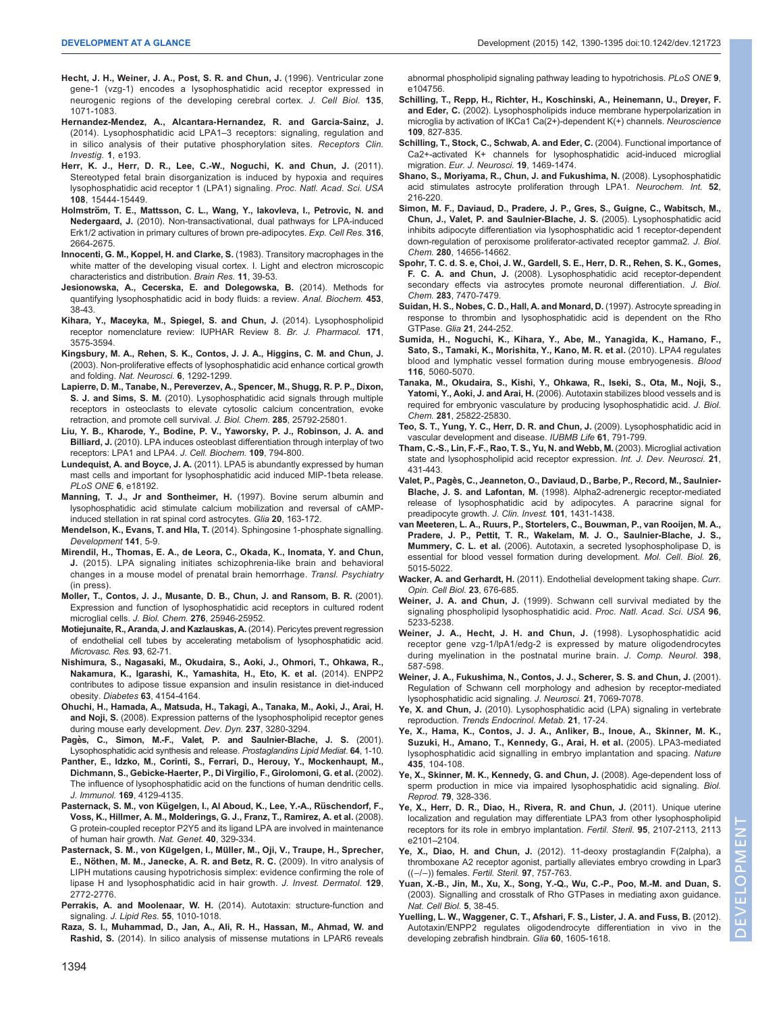- <span id="page-4-0"></span>[Hecht, J. H., Weiner, J. A., Post, S. R. and Chun, J.](http://dx.doi.org/10.1083/jcb.135.4.1071) (1996). Ventricular zone [gene-1 \(vzg-1\) encodes a lysophosphatidic acid receptor expressed in](http://dx.doi.org/10.1083/jcb.135.4.1071) [neurogenic regions of the developing cerebral cortex.](http://dx.doi.org/10.1083/jcb.135.4.1071) J. Cell Biol. 135, [1071-1083.](http://dx.doi.org/10.1083/jcb.135.4.1071)
- Hernandez-Mendez, A., Alcantara-Hernandez, R. and Garcia-Sainz, J. (2014). Lysophosphatidic acid LPA1–3 receptors: signaling, regulation and in silico analysis of their putative phosphorylation sites. Receptors Clin. Investig. 1, e193.
- [Herr, K. J., Herr, D. R., Lee, C.-W., Noguchi, K. and Chun, J.](http://dx.doi.org/10.1073/pnas.1106129108) (2011). [Stereotyped fetal brain disorganization is induced by hypoxia and requires](http://dx.doi.org/10.1073/pnas.1106129108) [lysophosphatidic acid receptor 1 \(LPA1\) signaling.](http://dx.doi.org/10.1073/pnas.1106129108) Proc. Natl. Acad. Sci. USA 108[, 15444-15449.](http://dx.doi.org/10.1073/pnas.1106129108)
- Holmström, T. E., Mattsson, C. L., Wang, Y., lakovleva, I., Petrovic, N. and Nedergaard, J. [\(2010\). Non-transactivational, dual pathways for LPA-induced](http://dx.doi.org/10.1016/j.yexcr.2010.05.029) [Erk1/2 activation in primary cultures of brown pre-adipocytes.](http://dx.doi.org/10.1016/j.yexcr.2010.05.029) Exp. Cell Res. 316, [2664-2675.](http://dx.doi.org/10.1016/j.yexcr.2010.05.029)
- [Innocenti, G. M., Koppel, H. and Clarke, S.](http://dx.doi.org/10.1016/0165-3806(83)90200-6) (1983). Transitory macrophages in the [white matter of the developing visual cortex. I. Light and electron microscopic](http://dx.doi.org/10.1016/0165-3806(83)90200-6) [characteristics and distribution.](http://dx.doi.org/10.1016/0165-3806(83)90200-6) Brain Res. 11, 39-53.
- [Jesionowska, A., Cecerska, E. and Dolegowska, B.](http://dx.doi.org/10.1016/j.ab.2014.02.021) (2014). Methods for [quantifying lysophosphatidic acid in body fluids: a review.](http://dx.doi.org/10.1016/j.ab.2014.02.021) Anal. Biochem. 453, [38-43.](http://dx.doi.org/10.1016/j.ab.2014.02.021)
- [Kihara, Y., Maceyka, M., Spiegel, S. and Chun, J.](http://dx.doi.org/10.1111/bph.12678) (2014). Lysophospholipid [receptor nomenclature review: IUPHAR Review 8.](http://dx.doi.org/10.1111/bph.12678) Br. J. Pharmacol. 171, [3575-3594.](http://dx.doi.org/10.1111/bph.12678)
- [Kingsbury, M. A., Rehen, S. K., Contos, J. J. A., Higgins, C. M. and Chun, J.](http://dx.doi.org/10.1038/nn1157) [\(2003\). Non-proliferative effects of lysophosphatidic acid enhance cortical growth](http://dx.doi.org/10.1038/nn1157) and folding. [Nat. Neurosci.](http://dx.doi.org/10.1038/nn1157) 6, 1292-1299.
- [Lapierre, D. M., Tanabe, N., Pereverzev, A., Spencer, M., Shugg, R. P. P., Dixon,](http://dx.doi.org/10.1074/jbc.M110.109322) S. J. and Sims, S. M. [\(2010\). Lysophosphatidic acid signals through multiple](http://dx.doi.org/10.1074/jbc.M110.109322) [receptors in osteoclasts to elevate cytosolic calcium concentration, evoke](http://dx.doi.org/10.1074/jbc.M110.109322) [retraction, and promote cell survival.](http://dx.doi.org/10.1074/jbc.M110.109322) J. Biol. Chem. 285, 25792-25801.
- [Liu, Y. B., Kharode, Y., Bodine, P. V., Yaworsky, P. J., Robinson, J. A. and](http://dx.doi.org/10.1002/jcb.22471) Billiard, J. [\(2010\). LPA induces osteoblast differentiation through interplay of two](http://dx.doi.org/10.1002/jcb.22471) [receptors: LPA1 and LPA4.](http://dx.doi.org/10.1002/jcb.22471) J. Cell. Biochem. 109, 794-800.
- Lundequist, A. and Boyce, J. A. [\(2011\). LPA5 is abundantly expressed by human](http://dx.doi.org/10.1371/journal.pone.0018192) [mast cells and important for lysophosphatidic acid induced MIP-1beta release.](http://dx.doi.org/10.1371/journal.pone.0018192) [PLoS ONE](http://dx.doi.org/10.1371/journal.pone.0018192) 6, e18192.
- [Manning, T. J., Jr and Sontheimer, H.](http://dx.doi.org/10.1002/(SICI)1098-1136(199706)20:2<163::AID-GLIA8>3.0.CO;2-A) (1997). Bovine serum albumin and [lysophosphatidic acid stimulate calcium mobilization and reversal of cAMP](http://dx.doi.org/10.1002/(SICI)1098-1136(199706)20:2<163::AID-GLIA8>3.0.CO;2-A)[induced stellation in rat spinal cord astrocytes.](http://dx.doi.org/10.1002/(SICI)1098-1136(199706)20:2<163::AID-GLIA8>3.0.CO;2-A) Glia 20, 163-172.
- Mendelson, K., Evans, T. and Hla, T. [\(2014\). Sphingosine 1-phosphate signalling.](http://dx.doi.org/10.1242/dev.094805) [Development](http://dx.doi.org/10.1242/dev.094805) 141, 5-9.
- Mirendil, H., Thomas, E. A., de Leora, C., Okada, K., Inomata, Y. and Chun, J. (2015). LPA signaling initiates schizophrenia-like brain and behavioral changes in a mouse model of prenatal brain hemorrhage. Transl. Psychiatry (in press).
- [Moller, T., Contos, J. J., Musante, D. B., Chun, J. and Ransom, B. R.](http://dx.doi.org/10.1074/jbc.M102691200) (2001). [Expression and function of lysophosphatidic acid receptors in cultured rodent](http://dx.doi.org/10.1074/jbc.M102691200) [microglial cells.](http://dx.doi.org/10.1074/jbc.M102691200) J. Biol. Chem. 276, 25946-25952.
- [Motiejunaite, R., Aranda, J. and Kazlauskas, A.](http://dx.doi.org/10.1016/j.mvr.2014.03.003) (2014). Pericytes prevent regression [of endothelial cell tubes by accelerating metabolism of lysophosphatidic acid.](http://dx.doi.org/10.1016/j.mvr.2014.03.003) [Microvasc. Res.](http://dx.doi.org/10.1016/j.mvr.2014.03.003) 93, 62-71.
- [Nishimura, S., Nagasaki, M., Okudaira, S., Aoki, J., Ohmori, T., Ohkawa, R.,](http://dx.doi.org/10.2337/db13-1694) [Nakamura, K., Igarashi, K., Yamashita, H., Eto, K. et al.](http://dx.doi.org/10.2337/db13-1694) (2014). ENPP2 [contributes to adipose tissue expansion and insulin resistance in diet-induced](http://dx.doi.org/10.2337/db13-1694) obesity. Diabetes 63[, 4154-4164.](http://dx.doi.org/10.2337/db13-1694)
- [Ohuchi, H., Hamada, A., Matsuda, H., Takagi, A., Tanaka, M., Aoki, J., Arai, H.](http://dx.doi.org/10.1002/dvdy.21736) and Noji, S. [\(2008\). Expression patterns of the lysophospholipid receptor genes](http://dx.doi.org/10.1002/dvdy.21736) [during mouse early development.](http://dx.doi.org/10.1002/dvdy.21736) Dev. Dyn. 237, 3280-3294.
- Pagès, C., Simon, M.-F., Valet, P. and Saulnier-Blache, J. S. (2001). [Lysophosphatidic acid synthesis and release.](http://dx.doi.org/10.1016/S0090-6980(01)00110-1) Prostaglandins Lipid Mediat. 64, 1-10.
- [Panther, E., Idzko, M., Corinti, S., Ferrari, D., Herouy, Y., Mockenhaupt, M.,](http://dx.doi.org/10.4049/jimmunol.169.8.4129) [Dichmann, S., Gebicke-Haerter, P., Di Virgilio, F., Girolomoni, G. et al.](http://dx.doi.org/10.4049/jimmunol.169.8.4129) (2002). [The influence of lysophosphatidic acid on the functions of human dendritic cells.](http://dx.doi.org/10.4049/jimmunol.169.8.4129) J. Immunol. 169[, 4129-4135.](http://dx.doi.org/10.4049/jimmunol.169.8.4129)
- Pasternack, S. M., von Kügelgen, I., Al Aboud, K., Lee, Y.-A., Rüschendorf, F., [Voss, K., Hillmer, A. M., Molderings, G. J., Franz, T., Ramirez, A. et al.](http://dx.doi.org/10.1038/ng.84) (2008). [G protein-coupled receptor P2Y5 and its ligand LPA are involved in maintenance](http://dx.doi.org/10.1038/ng.84) [of human hair growth.](http://dx.doi.org/10.1038/ng.84) Nat. Genet. 40, 329-334.
- Pasternack, S. M., von Kügelgen, I., Mü[ller, M., Oji, V., Traupe, H., Sprecher,](http://dx.doi.org/10.1038/jid.2009.154) E., Nö[then, M. M., Janecke, A. R. and Betz, R. C.](http://dx.doi.org/10.1038/jid.2009.154) (2009). In vitro analysis of [LIPH mutations causing hypotrichosis simplex: evidence confirming the role of](http://dx.doi.org/10.1038/jid.2009.154) [lipase H and lysophosphatidic acid in hair growth.](http://dx.doi.org/10.1038/jid.2009.154) J. Invest. Dermatol. 129, [2772-2776.](http://dx.doi.org/10.1038/jid.2009.154)
- Perrakis, A. and Moolenaar, W. H. [\(2014\). Autotaxin: structure-function and](http://dx.doi.org/10.1194/jlr.R046391) signaling. J. Lipid Res. 55[, 1010-1018.](http://dx.doi.org/10.1194/jlr.R046391)
- [Raza, S. I., Muhammad, D., Jan, A., Ali, R. H., Hassan, M., Ahmad, W. and](http://dx.doi.org/10.1371/journal.pone.0104756) Rashid, S. [\(2014\). In silico analysis of missense mutations in LPAR6 reveals](http://dx.doi.org/10.1371/journal.pone.0104756)

[abnormal phospholipid signaling pathway leading to hypotrichosis.](http://dx.doi.org/10.1371/journal.pone.0104756) PLoS ONE 9, [e104756.](http://dx.doi.org/10.1371/journal.pone.0104756)

- [Schilling, T., Repp, H., Richter, H., Koschinski, A., Heinemann, U., Dreyer, F.](http://dx.doi.org/10.1016/S0306-4522(01)00534-6) and Eder, C. [\(2002\). Lysophospholipids induce membrane hyperpolarization in](http://dx.doi.org/10.1016/S0306-4522(01)00534-6) [microglia by activation of IKCa1 Ca\(2+\)-dependent K\(+\) channels.](http://dx.doi.org/10.1016/S0306-4522(01)00534-6) Neuroscience 109[, 827-835.](http://dx.doi.org/10.1016/S0306-4522(01)00534-6)
- [Schilling, T., Stock, C., Schwab, A. and Eder, C.](http://dx.doi.org/10.1111/j.1460-9568.2004.03265.x) (2004). Functional importance of [Ca2+-activated K+ channels for lysophosphatidic acid-induced microglial](http://dx.doi.org/10.1111/j.1460-9568.2004.03265.x) migration. [Eur. J. Neurosci.](http://dx.doi.org/10.1111/j.1460-9568.2004.03265.x) 19, 1469-1474.
- [Shano, S., Moriyama, R., Chun, J. and Fukushima, N.](http://dx.doi.org/10.1016/j.neuint.2007.07.004) (2008). Lysophosphatidic [acid stimulates astrocyte proliferation through LPA1.](http://dx.doi.org/10.1016/j.neuint.2007.07.004) Neurochem. Int. 52, [216-220.](http://dx.doi.org/10.1016/j.neuint.2007.07.004)
- [Simon, M. F., Daviaud, D., Pradere, J. P., Gres, S., Guigne, C., Wabitsch, M.,](http://dx.doi.org/10.1074/jbc.M412585200) [Chun, J., Valet, P. and Saulnier-Blache, J. S.](http://dx.doi.org/10.1074/jbc.M412585200) (2005). Lysophosphatidic acid [inhibits adipocyte differentiation via lysophosphatidic acid 1 receptor-dependent](http://dx.doi.org/10.1074/jbc.M412585200) [down-regulation of peroxisome proliferator-activated receptor gamma2.](http://dx.doi.org/10.1074/jbc.M412585200) J. Biol. Chem. 280[, 14656-14662.](http://dx.doi.org/10.1074/jbc.M412585200)
- [Spohr, T. C. d. S. e, Choi, J. W., Gardell, S. E., Herr, D. R., Rehen, S. K., Gomes,](http://dx.doi.org/10.1074/jbc.M707758200) F. C. A. and Chun, J. [\(2008\). Lysophosphatidic acid receptor-dependent](http://dx.doi.org/10.1074/jbc.M707758200) [secondary effects via astrocytes promote neuronal differentiation.](http://dx.doi.org/10.1074/jbc.M707758200) J. Biol. Chem. 283[, 7470-7479.](http://dx.doi.org/10.1074/jbc.M707758200)
- [Suidan, H. S., Nobes, C. D., Hall, A. and Monard, D.](http://dx.doi.org/10.1002/(SICI)1098-1136(199710)21:2<244::AID-GLIA7>3.0.CO;2-6) (1997). Astrocyte spreading in [response to thrombin and lysophosphatidic acid is dependent on the Rho](http://dx.doi.org/10.1002/(SICI)1098-1136(199710)21:2<244::AID-GLIA7>3.0.CO;2-6) GTPase. Glia 21[, 244-252.](http://dx.doi.org/10.1002/(SICI)1098-1136(199710)21:2<244::AID-GLIA7>3.0.CO;2-6)
- [Sumida, H., Noguchi, K., Kihara, Y., Abe, M., Yanagida, K., Hamano, F.,](http://dx.doi.org/10.1182/blood-2010-03-272443) [Sato, S., Tamaki, K., Morishita, Y., Kano, M. R. et al.](http://dx.doi.org/10.1182/blood-2010-03-272443) (2010). LPA4 regulates [blood and lymphatic vessel formation during mouse embryogenesis.](http://dx.doi.org/10.1182/blood-2010-03-272443) Blood 116[, 5060-5070.](http://dx.doi.org/10.1182/blood-2010-03-272443)
- [Tanaka, M., Okudaira, S., Kishi, Y., Ohkawa, R., Iseki, S., Ota, M., Noji, S.,](http://dx.doi.org/10.1074/jbc.M605142200) Yatomi, Y., Aoki, J. and Arai, H. [\(2006\). Autotaxin stabilizes blood vessels and is](http://dx.doi.org/10.1074/jbc.M605142200) [required for embryonic vasculature by producing lysophosphatidic acid.](http://dx.doi.org/10.1074/jbc.M605142200) J. Biol. Chem. 281[, 25822-25830.](http://dx.doi.org/10.1074/jbc.M605142200)
- [Teo, S. T., Yung, Y. C., Herr, D. R. and Chun, J.](http://dx.doi.org/10.1002/iub.220) (2009). Lysophosphatidic acid in [vascular development and disease.](http://dx.doi.org/10.1002/iub.220) IUBMB Life 61, 791-799.
- [Tham, C.-S., Lin, F.-F., Rao, T. S., Yu, N. and Webb, M.](http://dx.doi.org/10.1016/j.ijdevneu.2003.09.003) (2003). Microglial activation [state and lysophospholipid acid receptor expression.](http://dx.doi.org/10.1016/j.ijdevneu.2003.09.003) Int. J. Dev. Neurosci. 21, [431-443.](http://dx.doi.org/10.1016/j.ijdevneu.2003.09.003)
- [Valet, P., Pages, C., Jeanneton, O., Daviaud, D., Barbe, P., Record, M., Saulnier-](http://dx.doi.org/10.1172/JCI806) ̀ Blache, J. S. and Lafontan, M. [\(1998\). Alpha2-adrenergic receptor-mediated](http://dx.doi.org/10.1172/JCI806) [release of lysophosphatidic acid by adipocytes. A paracrine signal for](http://dx.doi.org/10.1172/JCI806) [preadipocyte growth.](http://dx.doi.org/10.1172/JCI806) J. Clin. Invest. 101, 1431-1438.
- [van Meeteren, L. A., Ruurs, P., Stortelers, C., Bouwman, P., van Rooijen, M. A.,](http://dx.doi.org/10.1128/MCB.02419-05) [Pradere, J. P., Pettit, T. R., Wakelam, M. J. O., Saulnier-Blache, J. S.,](http://dx.doi.org/10.1128/MCB.02419-05) Mummery, C. L. et al. [\(2006\). Autotaxin, a secreted lysophospholipase D, is](http://dx.doi.org/10.1128/MCB.02419-05) [essential for blood vessel formation during development.](http://dx.doi.org/10.1128/MCB.02419-05) Mol. Cell. Biol. 26, [5015-5022.](http://dx.doi.org/10.1128/MCB.02419-05)
- Wacker, A. and Gerhardt, H. [\(2011\). Endothelial development taking shape.](http://dx.doi.org/10.1016/j.ceb.2011.10.002) Curr. [Opin. Cell Biol.](http://dx.doi.org/10.1016/j.ceb.2011.10.002) 23, 676-685.
- Weiner, J. A. and Chun, J. [\(1999\). Schwann cell survival mediated by the](http://dx.doi.org/10.1073/pnas.96.9.5233) [signaling phospholipid lysophosphatidic acid.](http://dx.doi.org/10.1073/pnas.96.9.5233) Proc. Natl. Acad. Sci. USA 96, [5233-5238.](http://dx.doi.org/10.1073/pnas.96.9.5233)
- [Weiner, J. A., Hecht, J. H. and Chun, J.](http://dx.doi.org/10.1002/(SICI)1096-9861(19980907)398:4<587::AID-CNE10>3.0.CO;2-5) (1998). Lysophosphatidic acid [receptor gene vzg-1/lpA1/edg-2 is expressed by mature oligodendrocytes](http://dx.doi.org/10.1002/(SICI)1096-9861(19980907)398:4<587::AID-CNE10>3.0.CO;2-5) [during myelination in the postnatal murine brain.](http://dx.doi.org/10.1002/(SICI)1096-9861(19980907)398:4<587::AID-CNE10>3.0.CO;2-5) J. Comp. Neurol. 398, [587-598.](http://dx.doi.org/10.1002/(SICI)1096-9861(19980907)398:4<587::AID-CNE10>3.0.CO;2-5)
- Weiner, J. A., Fukushima, N., Contos, J. J., Scherer, S. S. and Chun, J. (2001). Regulation of Schwann cell morphology and adhesion by receptor-mediated lysophosphatidic acid signaling. J. Neurosci. 21, 7069-7078.
- Ye, X. and Chun, J. [\(2010\). Lysophosphatidic acid \(LPA\) signaling in vertebrate](http://dx.doi.org/10.1016/j.tem.2009.08.003) reproduction. [Trends Endocrinol. Metab.](http://dx.doi.org/10.1016/j.tem.2009.08.003) 21, 17-24.
- [Ye, X., Hama, K., Contos, J. J. A., Anliker, B., Inoue, A., Skinner, M. K.,](http://dx.doi.org/10.1038/nature03505) [Suzuki, H., Amano, T., Kennedy, G., Arai, H. et al.](http://dx.doi.org/10.1038/nature03505) (2005). LPA3-mediated [lysophosphatidic acid signalling in embryo implantation and spacing.](http://dx.doi.org/10.1038/nature03505) Nature 435[, 104-108.](http://dx.doi.org/10.1038/nature03505)
- [Ye, X., Skinner, M. K., Kennedy, G. and Chun, J.](http://dx.doi.org/10.1095/biolreprod.108.068783) (2008). Age-dependent loss of [sperm production in mice via impaired lysophosphatidic acid signaling.](http://dx.doi.org/10.1095/biolreprod.108.068783) Biol. Reprod. 79[, 328-336.](http://dx.doi.org/10.1095/biolreprod.108.068783)
- [Ye, X., Herr, D. R., Diao, H., Rivera, R. and Chun, J.](http://dx.doi.org/10.1016/j.fertnstert.2011.02.024) (2011). Unique uterine [localization and regulation may differentiate LPA3 from other lysophospholipid](http://dx.doi.org/10.1016/j.fertnstert.2011.02.024) [receptors for its role in embryo implantation.](http://dx.doi.org/10.1016/j.fertnstert.2011.02.024) Fertil. Steril. 95, 2107-2113, 2113 [e2101](http://dx.doi.org/10.1016/j.fertnstert.2011.02.024)–2104.
- Ye, X., Diao, H. and Chun, J. [\(2012\). 11-deoxy prostaglandin F\(2alpha\), a](http://dx.doi.org/10.1016/j.fertnstert.2011.12.004) [thromboxane A2 receptor agonist, partially alleviates embryo crowding in Lpar3](http://dx.doi.org/10.1016/j.fertnstert.2011.12.004) ((−/−)) females. [Fertil. Steril.](http://dx.doi.org/10.1016/j.fertnstert.2011.12.004) 97, 757-763.
- [Yuan, X.-B., Jin, M., Xu, X., Song, Y.-Q., Wu, C.-P., Poo, M.-M. and Duan, S.](http://dx.doi.org/10.1038/ncb895) [\(2003\). Signalling and crosstalk of Rho GTPases in mediating axon guidance.](http://dx.doi.org/10.1038/ncb895) [Nat. Cell Biol.](http://dx.doi.org/10.1038/ncb895) 5, 38-45.
- [Yuelling, L. W., Waggener, C. T., Afshari, F. S., Lister, J. A. and Fuss, B.](http://dx.doi.org/10.1002/glia.22381) (2012). [Autotaxin/ENPP2 regulates oligodendrocyte differentiation in vivo in the](http://dx.doi.org/10.1002/glia.22381) [developing zebrafish hindbrain.](http://dx.doi.org/10.1002/glia.22381) Glia 60, 1605-1618.